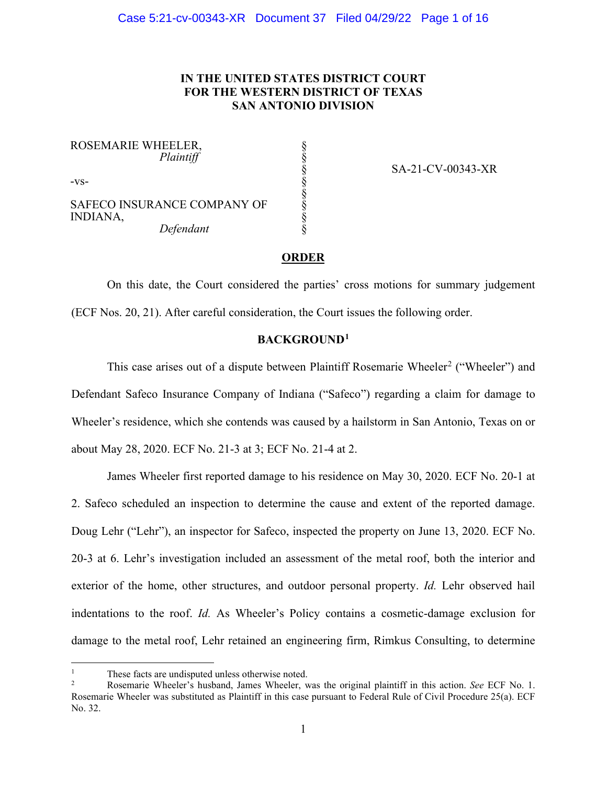# **IN THE UNITED STATES DISTRICT COURT FOR THE WESTERN DISTRICT OF TEXAS SAN ANTONIO DIVISION**

§ § § § § § § §

ROSEMARIE WHEELER,  *Plaintiff*

-vs-

SAFECO INSURANCE COMPANY OF INDIANA,  *Defendant*

SA-21-CV-00343-XR

## **ORDER**

On this date, the Court considered the parties' cross motions for summary judgement (ECF Nos. 20, 21). After careful consideration, the Court issues the following order.

## **BACKGROUND[1](#page-0-0)**

This case arises out of a dispute between Plaintiff Rosemarie Wheeler<sup>[2](#page-0-1)</sup> ("Wheeler") and Defendant Safeco Insurance Company of Indiana ("Safeco") regarding a claim for damage to Wheeler's residence, which she contends was caused by a hailstorm in San Antonio, Texas on or about May 28, 2020. ECF No. 21-3 at 3; ECF No. 21-4 at 2.

James Wheeler first reported damage to his residence on May 30, 2020. ECF No. 20-1 at 2. Safeco scheduled an inspection to determine the cause and extent of the reported damage. Doug Lehr ("Lehr"), an inspector for Safeco, inspected the property on June 13, 2020. ECF No. 20-3 at 6. Lehr's investigation included an assessment of the metal roof, both the interior and exterior of the home, other structures, and outdoor personal property. *Id.* Lehr observed hail indentations to the roof. *Id.* As Wheeler's Policy contains a cosmetic-damage exclusion for damage to the metal roof, Lehr retained an engineering firm, Rimkus Consulting, to determine

<span id="page-0-1"></span><span id="page-0-0"></span><sup>1</sup> These facts are undisputed unless otherwise noted. 2 Rosemarie Wheeler's husband, James Wheeler, was the original plaintiff in this action. *See* ECF No. 1. Rosemarie Wheeler was substituted as Plaintiff in this case pursuant to Federal Rule of Civil Procedure 25(a). ECF No. 32.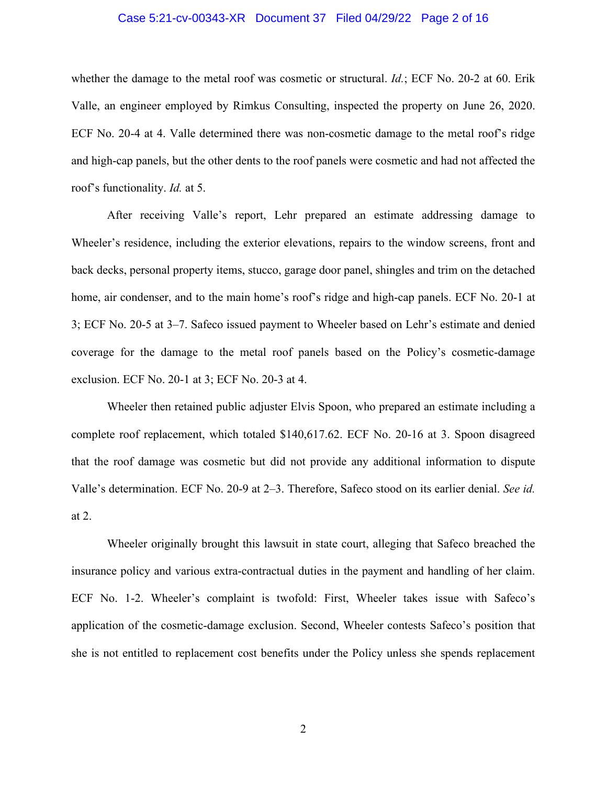#### Case 5:21-cv-00343-XR Document 37 Filed 04/29/22 Page 2 of 16

whether the damage to the metal roof was cosmetic or structural. *Id.*; ECF No. 20-2 at 60. Erik Valle, an engineer employed by Rimkus Consulting, inspected the property on June 26, 2020. ECF No. 20-4 at 4. Valle determined there was non-cosmetic damage to the metal roof's ridge and high-cap panels, but the other dents to the roof panels were cosmetic and had not affected the roof's functionality. *Id.* at 5.

After receiving Valle's report, Lehr prepared an estimate addressing damage to Wheeler's residence, including the exterior elevations, repairs to the window screens, front and back decks, personal property items, stucco, garage door panel, shingles and trim on the detached home, air condenser, and to the main home's roof's ridge and high-cap panels. ECF No. 20-1 at 3; ECF No. 20-5 at 3–7. Safeco issued payment to Wheeler based on Lehr's estimate and denied coverage for the damage to the metal roof panels based on the Policy's cosmetic-damage exclusion. ECF No. 20-1 at 3; ECF No. 20-3 at 4.

Wheeler then retained public adjuster Elvis Spoon, who prepared an estimate including a complete roof replacement, which totaled \$140,617.62. ECF No. 20-16 at 3. Spoon disagreed that the roof damage was cosmetic but did not provide any additional information to dispute Valle's determination. ECF No. 20-9 at 2–3. Therefore, Safeco stood on its earlier denial. *See id.* at 2.

Wheeler originally brought this lawsuit in state court, alleging that Safeco breached the insurance policy and various extra-contractual duties in the payment and handling of her claim. ECF No. 1-2. Wheeler's complaint is twofold: First, Wheeler takes issue with Safeco's application of the cosmetic-damage exclusion. Second, Wheeler contests Safeco's position that she is not entitled to replacement cost benefits under the Policy unless she spends replacement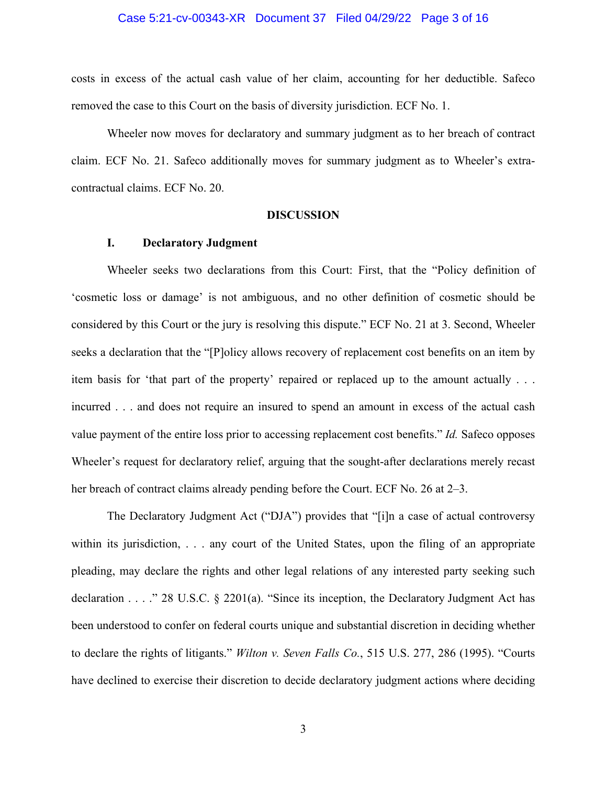#### Case 5:21-cv-00343-XR Document 37 Filed 04/29/22 Page 3 of 16

costs in excess of the actual cash value of her claim, accounting for her deductible. Safeco removed the case to this Court on the basis of diversity jurisdiction. ECF No. 1.

Wheeler now moves for declaratory and summary judgment as to her breach of contract claim. ECF No. 21. Safeco additionally moves for summary judgment as to Wheeler's extracontractual claims. ECF No. 20.

#### **DISCUSSION**

### **I. Declaratory Judgment**

Wheeler seeks two declarations from this Court: First, that the "Policy definition of 'cosmetic loss or damage' is not ambiguous, and no other definition of cosmetic should be considered by this Court or the jury is resolving this dispute." ECF No. 21 at 3. Second, Wheeler seeks a declaration that the "[P]olicy allows recovery of replacement cost benefits on an item by item basis for 'that part of the property' repaired or replaced up to the amount actually . . . incurred . . . and does not require an insured to spend an amount in excess of the actual cash value payment of the entire loss prior to accessing replacement cost benefits." *Id.* Safeco opposes Wheeler's request for declaratory relief, arguing that the sought-after declarations merely recast her breach of contract claims already pending before the Court. ECF No. 26 at 2–3.

The Declaratory Judgment Act ("DJA") provides that "[i]n a case of actual controversy within its jurisdiction, . . . any court of the United States, upon the filing of an appropriate pleading, may declare the rights and other legal relations of any interested party seeking such declaration . . . ." 28 U.S.C. § 2201(a). "Since its inception, the Declaratory Judgment Act has been understood to confer on federal courts unique and substantial discretion in deciding whether to declare the rights of litigants." *Wilton v. Seven Falls Co.*, 515 U.S. 277, 286 (1995). "Courts have declined to exercise their discretion to decide declaratory judgment actions where deciding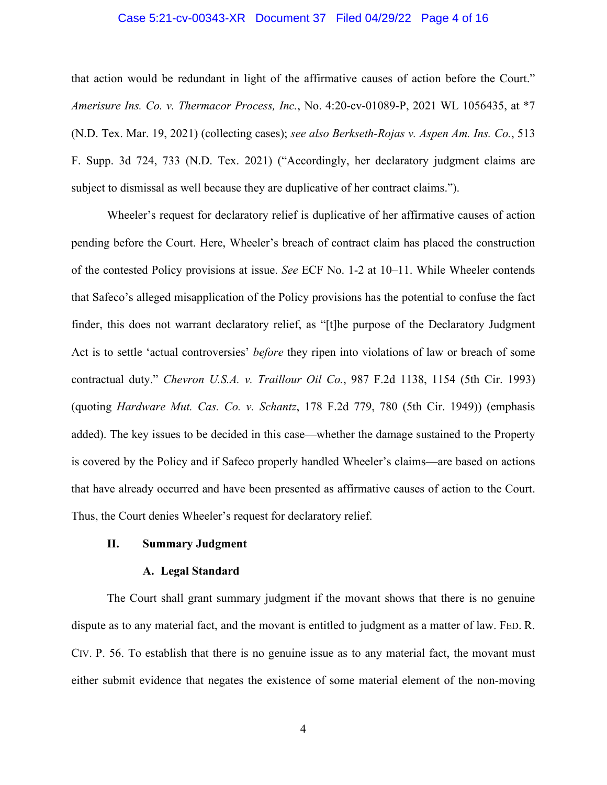#### Case 5:21-cv-00343-XR Document 37 Filed 04/29/22 Page 4 of 16

that action would be redundant in light of the affirmative causes of action before the Court." *Amerisure Ins. Co. v. Thermacor Process, Inc.*, No. 4:20-cv-01089-P, 2021 WL 1056435, at \*7 (N.D. Tex. Mar. 19, 2021) (collecting cases); *see also Berkseth-Rojas v. Aspen Am. Ins. Co.*, 513 F. Supp. 3d 724, 733 (N.D. Tex. 2021) ("Accordingly, her declaratory judgment claims are subject to dismissal as well because they are duplicative of her contract claims.").

Wheeler's request for declaratory relief is duplicative of her affirmative causes of action pending before the Court. Here, Wheeler's breach of contract claim has placed the construction of the contested Policy provisions at issue. *See* ECF No. 1-2 at 10–11. While Wheeler contends that Safeco's alleged misapplication of the Policy provisions has the potential to confuse the fact finder, this does not warrant declaratory relief, as "[t]he purpose of the Declaratory Judgment Act is to settle 'actual controversies' *before* they ripen into violations of law or breach of some contractual duty." *Chevron U.S.A. v. Traillour Oil Co.*, 987 F.2d 1138, 1154 (5th Cir. 1993) (quoting *Hardware Mut. Cas. Co. v. Schantz*, 178 F.2d 779, 780 (5th Cir. 1949)) (emphasis added). The key issues to be decided in this case—whether the damage sustained to the Property is covered by the Policy and if Safeco properly handled Wheeler's claims—are based on actions that have already occurred and have been presented as affirmative causes of action to the Court. Thus, the Court denies Wheeler's request for declaratory relief.

### **II. Summary Judgment**

#### **A. Legal Standard**

The Court shall grant summary judgment if the movant shows that there is no genuine dispute as to any material fact, and the movant is entitled to judgment as a matter of law. FED. R. CIV. P. 56. To establish that there is no genuine issue as to any material fact, the movant must either submit evidence that negates the existence of some material element of the non-moving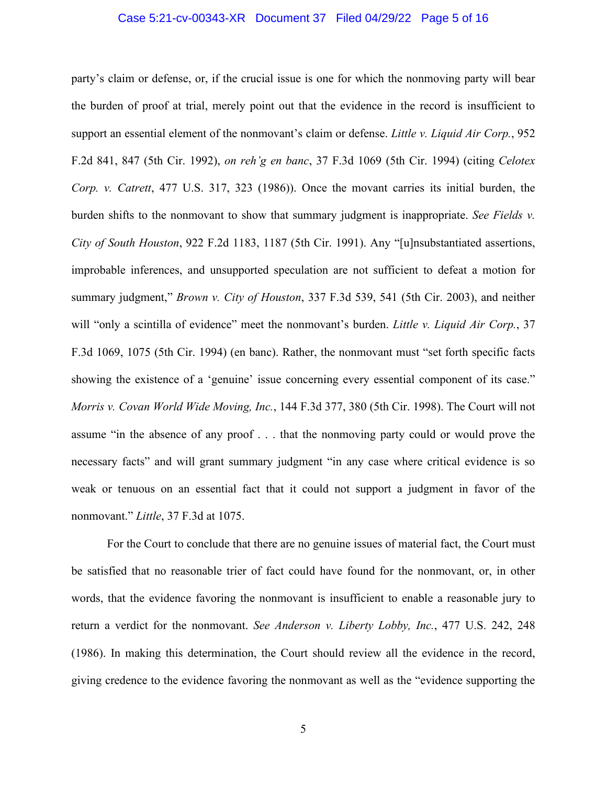### Case 5:21-cv-00343-XR Document 37 Filed 04/29/22 Page 5 of 16

party's claim or defense, or, if the crucial issue is one for which the nonmoving party will bear the burden of proof at trial, merely point out that the evidence in the record is insufficient to support an essential element of the nonmovant's claim or defense. *Little v. Liquid Air Corp.*, 952 F.2d 841, 847 (5th Cir. 1992), *on reh'g en banc*, 37 F.3d 1069 (5th Cir. 1994) (citing *Celotex Corp. v. Catrett*, 477 U.S. 317, 323 (1986)). Once the movant carries its initial burden, the burden shifts to the nonmovant to show that summary judgment is inappropriate. *See Fields v. City of South Houston*, 922 F.2d 1183, 1187 (5th Cir. 1991). Any "[u]nsubstantiated assertions, improbable inferences, and unsupported speculation are not sufficient to defeat a motion for summary judgment," *Brown v. City of Houston*, 337 F.3d 539, 541 (5th Cir. 2003), and neither will "only a scintilla of evidence" meet the nonmovant's burden. *Little v. Liquid Air Corp.*, 37 F.3d 1069, 1075 (5th Cir. 1994) (en banc). Rather, the nonmovant must "set forth specific facts showing the existence of a 'genuine' issue concerning every essential component of its case." *Morris v. Covan World Wide Moving, Inc.*, 144 F.3d 377, 380 (5th Cir. 1998). The Court will not assume "in the absence of any proof . . . that the nonmoving party could or would prove the necessary facts" and will grant summary judgment "in any case where critical evidence is so weak or tenuous on an essential fact that it could not support a judgment in favor of the nonmovant." *Little*, 37 F.3d at 1075.

For the Court to conclude that there are no genuine issues of material fact, the Court must be satisfied that no reasonable trier of fact could have found for the nonmovant, or, in other words, that the evidence favoring the nonmovant is insufficient to enable a reasonable jury to return a verdict for the nonmovant. *See Anderson v. Liberty Lobby, Inc.*, 477 U.S. 242, 248 (1986). In making this determination, the Court should review all the evidence in the record, giving credence to the evidence favoring the nonmovant as well as the "evidence supporting the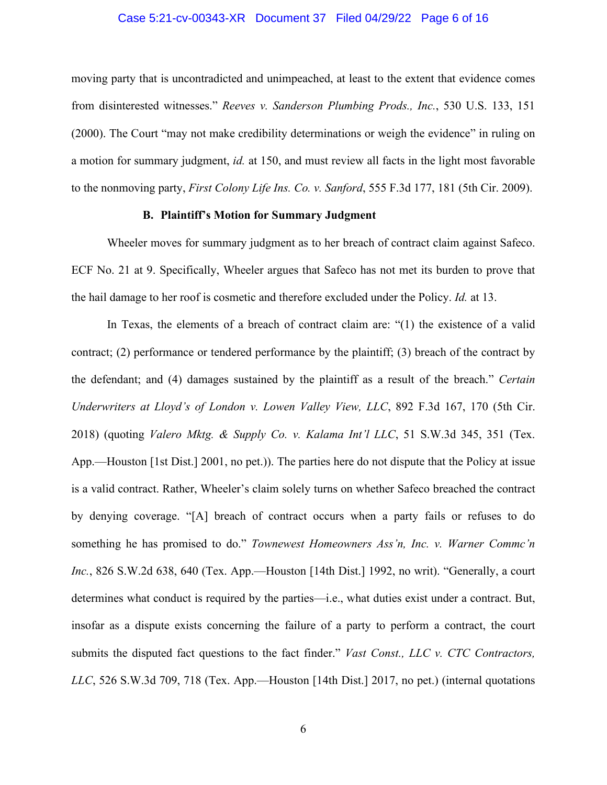#### Case 5:21-cv-00343-XR Document 37 Filed 04/29/22 Page 6 of 16

moving party that is uncontradicted and unimpeached, at least to the extent that evidence comes from disinterested witnesses." *Reeves v. Sanderson Plumbing Prods., Inc.*, 530 U.S. 133, 151 (2000). The Court "may not make credibility determinations or weigh the evidence" in ruling on a motion for summary judgment, *id.* at 150, and must review all facts in the light most favorable to the nonmoving party, *First Colony Life Ins. Co. v. Sanford*, 555 F.3d 177, 181 (5th Cir. 2009).

### **B. Plaintiff's Motion for Summary Judgment**

Wheeler moves for summary judgment as to her breach of contract claim against Safeco. ECF No. 21 at 9. Specifically, Wheeler argues that Safeco has not met its burden to prove that the hail damage to her roof is cosmetic and therefore excluded under the Policy. *Id.* at 13.

In Texas, the elements of a breach of contract claim are: "(1) the existence of a valid contract;  $(2)$  performance or tendered performance by the plaintiff;  $(3)$  breach of the contract by the defendant; and (4) damages sustained by the plaintiff as a result of the breach." *Certain Underwriters at Lloyd's of London v. Lowen Valley View, LLC*, 892 F.3d 167, 170 (5th Cir. 2018) (quoting *Valero Mktg. & Supply Co. v. Kalama Int'l LLC*, 51 S.W.3d 345, 351 (Tex. App.—Houston [1st Dist.] 2001, no pet.)). The parties here do not dispute that the Policy at issue is a valid contract. Rather, Wheeler's claim solely turns on whether Safeco breached the contract by denying coverage. "[A] breach of contract occurs when a party fails or refuses to do something he has promised to do." *Townewest Homeowners Ass'n, Inc. v. Warner Commc'n Inc.*, 826 S.W.2d 638, 640 (Tex. App.—Houston [14th Dist.] 1992, no writ). "Generally, a court determines what conduct is required by the parties—i.e., what duties exist under a contract. But, insofar as a dispute exists concerning the failure of a party to perform a contract, the court submits the disputed fact questions to the fact finder." *Vast Const., LLC v. CTC Contractors, LLC*, 526 S.W.3d 709, 718 (Tex. App.—Houston [14th Dist.] 2017, no pet.) (internal quotations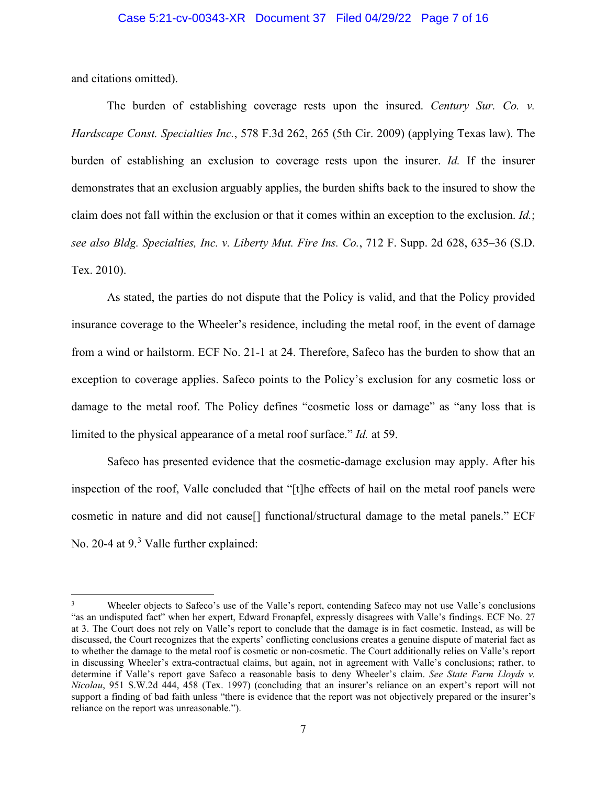and citations omitted).

The burden of establishing coverage rests upon the insured. *Century Sur. Co. v. Hardscape Const. Specialties Inc.*, 578 F.3d 262, 265 (5th Cir. 2009) (applying Texas law). The burden of establishing an exclusion to coverage rests upon the insurer. *Id.* If the insurer demonstrates that an exclusion arguably applies, the burden shifts back to the insured to show the claim does not fall within the exclusion or that it comes within an exception to the exclusion. *Id.*; *see also Bldg. Specialties, Inc. v. Liberty Mut. Fire Ins. Co.*, 712 F. Supp. 2d 628, 635–36 (S.D. Tex. 2010).

As stated, the parties do not dispute that the Policy is valid, and that the Policy provided insurance coverage to the Wheeler's residence, including the metal roof, in the event of damage from a wind or hailstorm. ECF No. 21-1 at 24. Therefore, Safeco has the burden to show that an exception to coverage applies. Safeco points to the Policy's exclusion for any cosmetic loss or damage to the metal roof. The Policy defines "cosmetic loss or damage" as "any loss that is limited to the physical appearance of a metal roof surface." *Id.* at 59.

Safeco has presented evidence that the cosmetic-damage exclusion may apply. After his inspection of the roof, Valle concluded that "[t]he effects of hail on the metal roof panels were cosmetic in nature and did not cause[] functional/structural damage to the metal panels." ECF No. 20-4 at 9.<sup>[3](#page-6-0)</sup> Valle further explained:

<span id="page-6-0"></span>Wheeler objects to Safeco's use of the Valle's report, contending Safeco may not use Valle's conclusions "as an undisputed fact" when her expert, Edward Fronapfel, expressly disagrees with Valle's findings. ECF No. 27 at 3. The Court does not rely on Valle's report to conclude that the damage is in fact cosmetic. Instead, as will be discussed, the Court recognizes that the experts' conflicting conclusions creates a genuine dispute of material fact as to whether the damage to the metal roof is cosmetic or non-cosmetic. The Court additionally relies on Valle's report in discussing Wheeler's extra-contractual claims, but again, not in agreement with Valle's conclusions; rather, to determine if Valle's report gave Safeco a reasonable basis to deny Wheeler's claim. *See State Farm Lloyds v. Nicolau*, 951 S.W.2d 444, 458 (Tex. 1997) (concluding that an insurer's reliance on an expert's report will not support a finding of bad faith unless "there is evidence that the report was not objectively prepared or the insurer's reliance on the report was unreasonable.").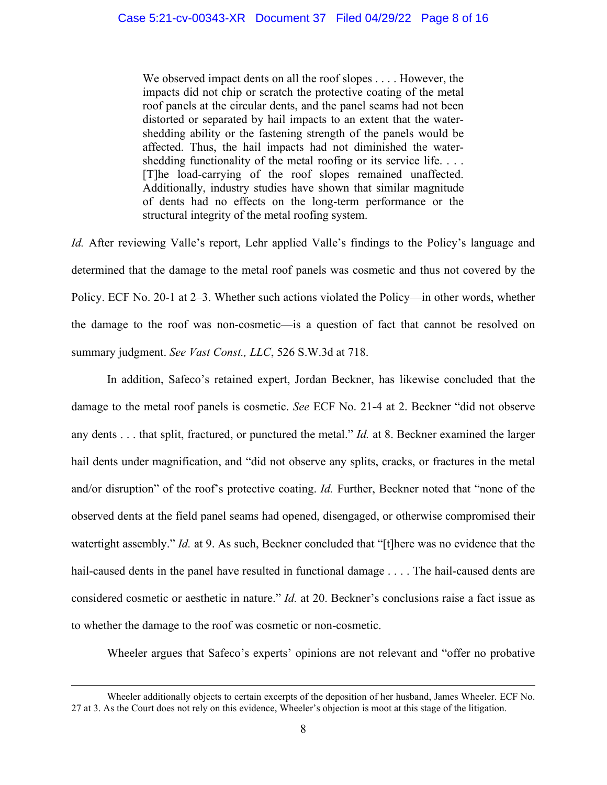We observed impact dents on all the roof slopes . . . . However, the impacts did not chip or scratch the protective coating of the metal roof panels at the circular dents, and the panel seams had not been distorted or separated by hail impacts to an extent that the watershedding ability or the fastening strength of the panels would be affected. Thus, the hail impacts had not diminished the watershedding functionality of the metal roofing or its service life. . . . [T]he load-carrying of the roof slopes remained unaffected. Additionally, industry studies have shown that similar magnitude of dents had no effects on the long-term performance or the structural integrity of the metal roofing system.

*Id.* After reviewing Valle's report, Lehr applied Valle's findings to the Policy's language and determined that the damage to the metal roof panels was cosmetic and thus not covered by the Policy. ECF No. 20-1 at 2–3. Whether such actions violated the Policy—in other words, whether the damage to the roof was non-cosmetic—is a question of fact that cannot be resolved on summary judgment. *See Vast Const., LLC*, 526 S.W.3d at 718.

In addition, Safeco's retained expert, Jordan Beckner, has likewise concluded that the damage to the metal roof panels is cosmetic. *See* ECF No. 21-4 at 2. Beckner "did not observe any dents . . . that split, fractured, or punctured the metal." *Id.* at 8. Beckner examined the larger hail dents under magnification, and "did not observe any splits, cracks, or fractures in the metal and/or disruption" of the roof's protective coating. *Id.* Further, Beckner noted that "none of the observed dents at the field panel seams had opened, disengaged, or otherwise compromised their watertight assembly." *Id.* at 9. As such, Beckner concluded that "[t]here was no evidence that the hail-caused dents in the panel have resulted in functional damage . . . . The hail-caused dents are considered cosmetic or aesthetic in nature." *Id.* at 20. Beckner's conclusions raise a fact issue as to whether the damage to the roof was cosmetic or non-cosmetic.

Wheeler argues that Safeco's experts' opinions are not relevant and "offer no probative

Wheeler additionally objects to certain excerpts of the deposition of her husband, James Wheeler. ECF No. 27 at 3. As the Court does not rely on this evidence, Wheeler's objection is moot at this stage of the litigation.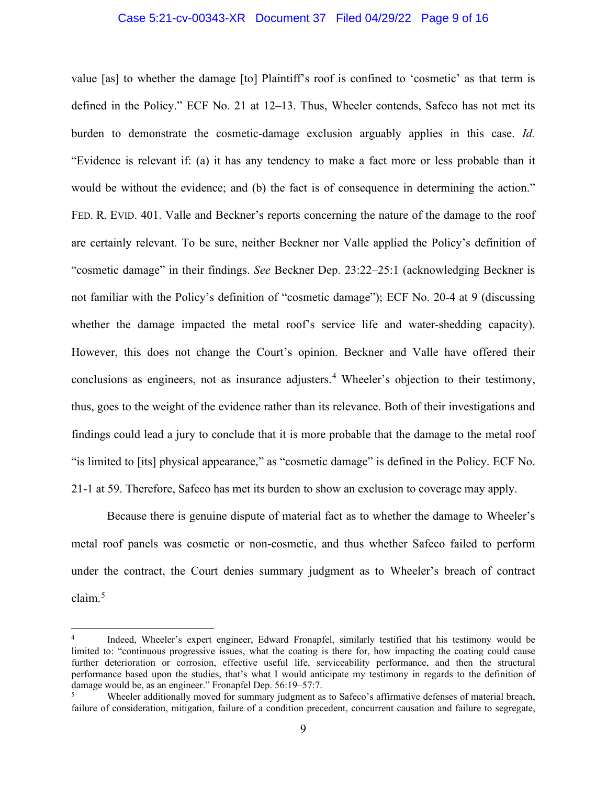### Case 5:21-cv-00343-XR Document 37 Filed 04/29/22 Page 9 of 16

value [as] to whether the damage [to] Plaintiff's roof is confined to 'cosmetic' as that term is defined in the Policy." ECF No. 21 at 12–13. Thus, Wheeler contends, Safeco has not met its burden to demonstrate the cosmetic-damage exclusion arguably applies in this case. *Id.* "Evidence is relevant if: (a) it has any tendency to make a fact more or less probable than it would be without the evidence; and (b) the fact is of consequence in determining the action." FED. R. EVID. 401. Valle and Beckner's reports concerning the nature of the damage to the roof are certainly relevant. To be sure, neither Beckner nor Valle applied the Policy's definition of "cosmetic damage" in their findings. *See* Beckner Dep. 23:22–25:1 (acknowledging Beckner is not familiar with the Policy's definition of "cosmetic damage"); ECF No. 20-4 at 9 (discussing whether the damage impacted the metal roof's service life and water-shedding capacity). However, this does not change the Court's opinion. Beckner and Valle have offered their conclusions as engineers, not as insurance adjusters.<sup>[4](#page-8-0)</sup> Wheeler's objection to their testimony, thus, goes to the weight of the evidence rather than its relevance. Both of their investigations and findings could lead a jury to conclude that it is more probable that the damage to the metal roof "is limited to [its] physical appearance," as "cosmetic damage" is defined in the Policy. ECF No. 21-1 at 59. Therefore, Safeco has met its burden to show an exclusion to coverage may apply.

Because there is genuine dispute of material fact as to whether the damage to Wheeler's metal roof panels was cosmetic or non-cosmetic, and thus whether Safeco failed to perform under the contract, the Court denies summary judgment as to Wheeler's breach of contract claim.[5](#page-8-1)

<span id="page-8-0"></span><sup>4</sup> Indeed, Wheeler's expert engineer, Edward Fronapfel, similarly testified that his testimony would be limited to: "continuous progressive issues, what the coating is there for, how impacting the coating could cause further deterioration or corrosion, effective useful life, serviceability performance, and then the structural performance based upon the studies, that's what I would anticipate my testimony in regards to the definition of damage would be, as an engineer." Fronapfel Dep. 56:19–57:7.

<span id="page-8-1"></span><sup>&</sup>lt;sup>5</sup> Wheeler additionally moved for summary judgment as to Safeco's affirmative defenses of material breach, failure of consideration, mitigation, failure of a condition precedent, concurrent causation and failure to segregate,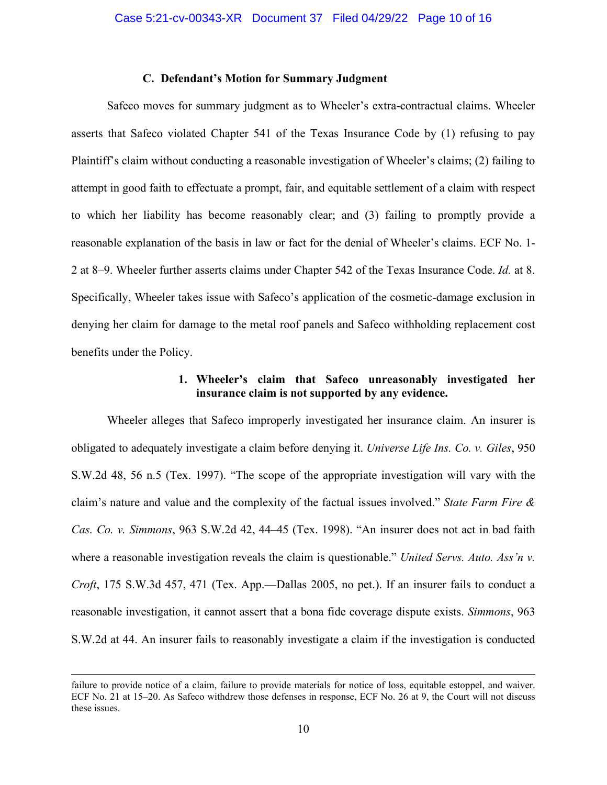#### **C. Defendant's Motion for Summary Judgment**

Safeco moves for summary judgment as to Wheeler's extra-contractual claims. Wheeler asserts that Safeco violated Chapter 541 of the Texas Insurance Code by (1) refusing to pay Plaintiff's claim without conducting a reasonable investigation of Wheeler's claims; (2) failing to attempt in good faith to effectuate a prompt, fair, and equitable settlement of a claim with respect to which her liability has become reasonably clear; and (3) failing to promptly provide a reasonable explanation of the basis in law or fact for the denial of Wheeler's claims. ECF No. 1- 2 at 8–9. Wheeler further asserts claims under Chapter 542 of the Texas Insurance Code. *Id.* at 8. Specifically, Wheeler takes issue with Safeco's application of the cosmetic-damage exclusion in denying her claim for damage to the metal roof panels and Safeco withholding replacement cost benefits under the Policy.

## **1. Wheeler's claim that Safeco unreasonably investigated her insurance claim is not supported by any evidence.**

Wheeler alleges that Safeco improperly investigated her insurance claim. An insurer is obligated to adequately investigate a claim before denying it. *Universe Life Ins. Co. v. Giles*, 950 S.W.2d 48, 56 n.5 (Tex. 1997). "The scope of the appropriate investigation will vary with the claim's nature and value and the complexity of the factual issues involved." *State Farm Fire & Cas. Co. v. Simmons*, 963 S.W.2d 42, 44–45 (Tex. 1998). "An insurer does not act in bad faith where a reasonable investigation reveals the claim is questionable." *United Servs. Auto. Ass'n v. Croft*, 175 S.W.3d 457, 471 (Tex. App.—Dallas 2005, no pet.). If an insurer fails to conduct a reasonable investigation, it cannot assert that a bona fide coverage dispute exists. *Simmons*, 963 S.W.2d at 44. An insurer fails to reasonably investigate a claim if the investigation is conducted

failure to provide notice of a claim, failure to provide materials for notice of loss, equitable estoppel, and waiver. ECF No. 21 at 15–20. As Safeco withdrew those defenses in response, ECF No. 26 at 9, the Court will not discuss these issues.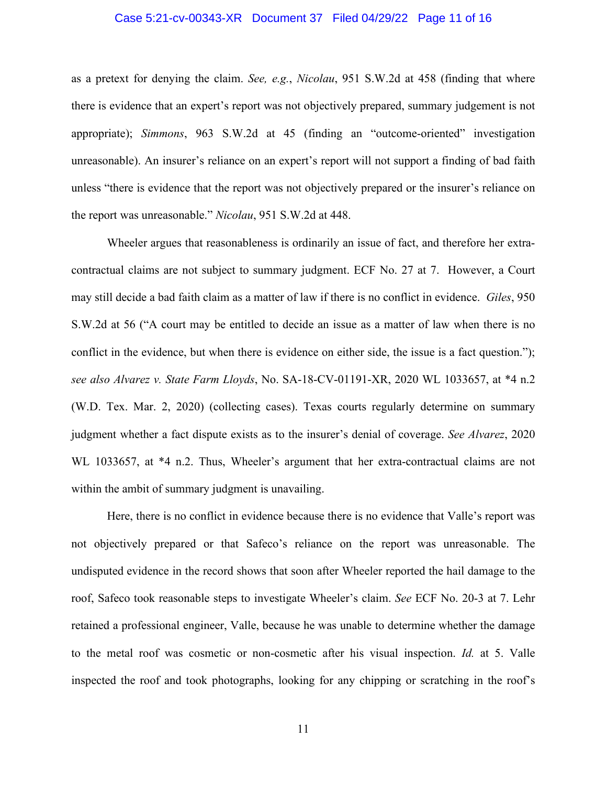#### Case 5:21-cv-00343-XR Document 37 Filed 04/29/22 Page 11 of 16

as a pretext for denying the claim. *See, e.g.*, *Nicolau*, 951 S.W.2d at 458 (finding that where there is evidence that an expert's report was not objectively prepared, summary judgement is not appropriate); *Simmons*, 963 S.W.2d at 45 (finding an "outcome-oriented" investigation unreasonable). An insurer's reliance on an expert's report will not support a finding of bad faith unless "there is evidence that the report was not objectively prepared or the insurer's reliance on the report was unreasonable." *Nicolau*, 951 S.W.2d at 448.

Wheeler argues that reasonableness is ordinarily an issue of fact, and therefore her extracontractual claims are not subject to summary judgment. ECF No. 27 at 7. However, a Court may still decide a bad faith claim as a matter of law if there is no conflict in evidence. *Giles*, 950 S.W.2d at 56 ("A court may be entitled to decide an issue as a matter of law when there is no conflict in the evidence, but when there is evidence on either side, the issue is a fact question."); *see also Alvarez v. State Farm Lloyds*, No. SA-18-CV-01191-XR, 2020 WL 1033657, at \*4 n.2 (W.D. Tex. Mar. 2, 2020) (collecting cases). Texas courts regularly determine on summary judgment whether a fact dispute exists as to the insurer's denial of coverage. *See Alvarez*, 2020 WL 1033657, at \*4 n.2. Thus, Wheeler's argument that her extra-contractual claims are not within the ambit of summary judgment is unavailing.

Here, there is no conflict in evidence because there is no evidence that Valle's report was not objectively prepared or that Safeco's reliance on the report was unreasonable. The undisputed evidence in the record shows that soon after Wheeler reported the hail damage to the roof, Safeco took reasonable steps to investigate Wheeler's claim. *See* ECF No. 20-3 at 7. Lehr retained a professional engineer, Valle, because he was unable to determine whether the damage to the metal roof was cosmetic or non-cosmetic after his visual inspection. *Id.* at 5. Valle inspected the roof and took photographs, looking for any chipping or scratching in the roof's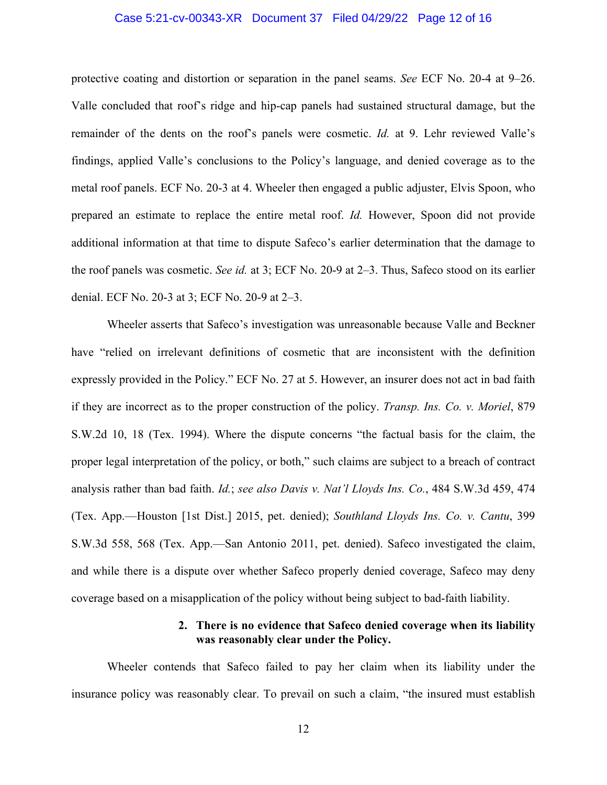### Case 5:21-cv-00343-XR Document 37 Filed 04/29/22 Page 12 of 16

protective coating and distortion or separation in the panel seams. *See* ECF No. 20-4 at 9–26. Valle concluded that roof's ridge and hip-cap panels had sustained structural damage, but the remainder of the dents on the roof's panels were cosmetic. *Id.* at 9. Lehr reviewed Valle's findings, applied Valle's conclusions to the Policy's language, and denied coverage as to the metal roof panels. ECF No. 20-3 at 4. Wheeler then engaged a public adjuster, Elvis Spoon, who prepared an estimate to replace the entire metal roof. *Id.* However, Spoon did not provide additional information at that time to dispute Safeco's earlier determination that the damage to the roof panels was cosmetic. *See id.* at 3; ECF No. 20-9 at 2–3. Thus, Safeco stood on its earlier denial. ECF No. 20-3 at 3; ECF No. 20-9 at 2–3.

Wheeler asserts that Safeco's investigation was unreasonable because Valle and Beckner have "relied on irrelevant definitions of cosmetic that are inconsistent with the definition expressly provided in the Policy." ECF No. 27 at 5. However, an insurer does not act in bad faith if they are incorrect as to the proper construction of the policy. *Transp. Ins. Co. v. Moriel*, 879 S.W.2d 10, 18 (Tex. 1994). Where the dispute concerns "the factual basis for the claim, the proper legal interpretation of the policy, or both," such claims are subject to a breach of contract analysis rather than bad faith. *Id.*; *see also Davis v. Nat'l Lloyds Ins. Co.*, 484 S.W.3d 459, 474 (Tex. App.—Houston [1st Dist.] 2015, pet. denied); *Southland Lloyds Ins. Co. v. Cantu*, 399 S.W.3d 558, 568 (Tex. App.—San Antonio 2011, pet. denied). Safeco investigated the claim, and while there is a dispute over whether Safeco properly denied coverage, Safeco may deny coverage based on a misapplication of the policy without being subject to bad-faith liability.

# **2. There is no evidence that Safeco denied coverage when its liability was reasonably clear under the Policy.**

Wheeler contends that Safeco failed to pay her claim when its liability under the insurance policy was reasonably clear. To prevail on such a claim, "the insured must establish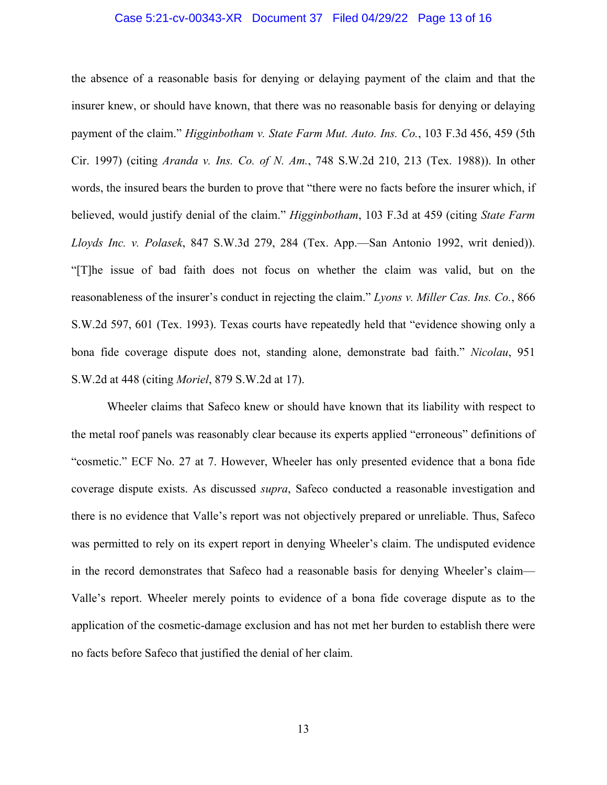#### Case 5:21-cv-00343-XR Document 37 Filed 04/29/22 Page 13 of 16

the absence of a reasonable basis for denying or delaying payment of the claim and that the insurer knew, or should have known, that there was no reasonable basis for denying or delaying payment of the claim." *Higginbotham v. State Farm Mut. Auto. Ins. Co.*, 103 F.3d 456, 459 (5th Cir. 1997) (citing *Aranda v. Ins. Co. of N. Am.*, 748 S.W.2d 210, 213 (Tex. 1988)). In other words, the insured bears the burden to prove that "there were no facts before the insurer which, if believed, would justify denial of the claim." *Higginbotham*, 103 F.3d at 459 (citing *State Farm Lloyds Inc. v. Polasek*, 847 S.W.3d 279, 284 (Tex. App.—San Antonio 1992, writ denied)). "[T]he issue of bad faith does not focus on whether the claim was valid, but on the reasonableness of the insurer's conduct in rejecting the claim." *Lyons v. Miller Cas. Ins. Co.*, 866 S.W.2d 597, 601 (Tex. 1993). Texas courts have repeatedly held that "evidence showing only a bona fide coverage dispute does not, standing alone, demonstrate bad faith." *Nicolau*, 951 S.W.2d at 448 (citing *Moriel*, 879 S.W.2d at 17).

Wheeler claims that Safeco knew or should have known that its liability with respect to the metal roof panels was reasonably clear because its experts applied "erroneous" definitions of "cosmetic." ECF No. 27 at 7. However, Wheeler has only presented evidence that a bona fide coverage dispute exists. As discussed *supra*, Safeco conducted a reasonable investigation and there is no evidence that Valle's report was not objectively prepared or unreliable. Thus, Safeco was permitted to rely on its expert report in denying Wheeler's claim. The undisputed evidence in the record demonstrates that Safeco had a reasonable basis for denying Wheeler's claim— Valle's report. Wheeler merely points to evidence of a bona fide coverage dispute as to the application of the cosmetic-damage exclusion and has not met her burden to establish there were no facts before Safeco that justified the denial of her claim.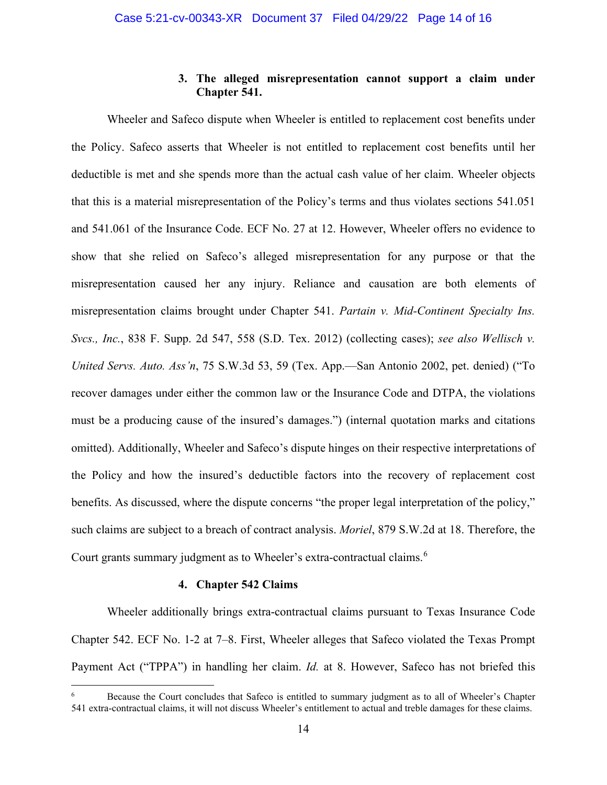## **3. The alleged misrepresentation cannot support a claim under Chapter 541.**

Wheeler and Safeco dispute when Wheeler is entitled to replacement cost benefits under the Policy. Safeco asserts that Wheeler is not entitled to replacement cost benefits until her deductible is met and she spends more than the actual cash value of her claim. Wheeler objects that this is a material misrepresentation of the Policy's terms and thus violates sections 541.051 and 541.061 of the Insurance Code. ECF No. 27 at 12. However, Wheeler offers no evidence to show that she relied on Safeco's alleged misrepresentation for any purpose or that the misrepresentation caused her any injury. Reliance and causation are both elements of misrepresentation claims brought under Chapter 541. *Partain v. Mid-Continent Specialty Ins. Svcs., Inc.*, 838 F. Supp. 2d 547, 558 (S.D. Tex. 2012) (collecting cases); *see also Wellisch v. United Servs. Auto. Ass'n*, 75 S.W.3d 53, 59 (Tex. App.—San Antonio 2002, pet. denied) ("To recover damages under either the common law or the Insurance Code and DTPA, the violations must be a producing cause of the insured's damages.") (internal quotation marks and citations omitted). Additionally, Wheeler and Safeco's dispute hinges on their respective interpretations of the Policy and how the insured's deductible factors into the recovery of replacement cost benefits. As discussed, where the dispute concerns "the proper legal interpretation of the policy," such claims are subject to a breach of contract analysis. *Moriel*, 879 S.W.2d at 18. Therefore, the Court grants summary judgment as to Wheeler's extra-contractual claims. [6](#page-13-0)

#### **4. Chapter 542 Claims**

Wheeler additionally brings extra-contractual claims pursuant to Texas Insurance Code Chapter 542. ECF No. 1-2 at 7–8. First, Wheeler alleges that Safeco violated the Texas Prompt Payment Act ("TPPA") in handling her claim. *Id.* at 8. However, Safeco has not briefed this

<span id="page-13-0"></span><sup>6</sup> Because the Court concludes that Safeco is entitled to summary judgment as to all of Wheeler's Chapter 541 extra-contractual claims, it will not discuss Wheeler's entitlement to actual and treble damages for these claims.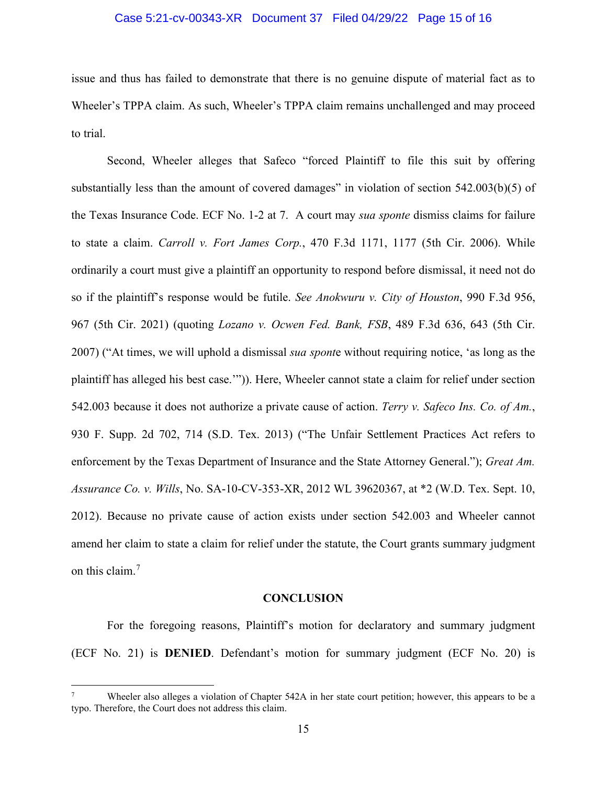### Case 5:21-cv-00343-XR Document 37 Filed 04/29/22 Page 15 of 16

issue and thus has failed to demonstrate that there is no genuine dispute of material fact as to Wheeler's TPPA claim. As such, Wheeler's TPPA claim remains unchallenged and may proceed to trial.

Second, Wheeler alleges that Safeco "forced Plaintiff to file this suit by offering substantially less than the amount of covered damages" in violation of section 542.003(b)(5) of the Texas Insurance Code. ECF No. 1-2 at 7. A court may *sua sponte* dismiss claims for failure to state a claim. *Carroll v. Fort James Corp.*, 470 F.3d 1171, 1177 (5th Cir. 2006). While ordinarily a court must give a plaintiff an opportunity to respond before dismissal, it need not do so if the plaintiff's response would be futile. *See Anokwuru v. City of Houston*, 990 F.3d 956, 967 (5th Cir. 2021) (quoting *Lozano v. Ocwen Fed. Bank, FSB*, 489 F.3d 636, 643 (5th Cir. 2007) ("At times, we will uphold a dismissal *sua spont*e without requiring notice, 'as long as the plaintiff has alleged his best case.'")). Here, Wheeler cannot state a claim for relief under section 542.003 because it does not authorize a private cause of action. *Terry v. Safeco Ins. Co. of Am.*, 930 F. Supp. 2d 702, 714 (S.D. Tex. 2013) ("The Unfair Settlement Practices Act refers to enforcement by the Texas Department of Insurance and the State Attorney General."); *Great Am. Assurance Co. v. Wills*, No. SA-10-CV-353-XR, 2012 WL 39620367, at \*2 (W.D. Tex. Sept. 10, 2012). Because no private cause of action exists under section 542.003 and Wheeler cannot amend her claim to state a claim for relief under the statute, the Court grants summary judgment on this claim.<sup>[7](#page-14-0)</sup>

#### **CONCLUSION**

For the foregoing reasons, Plaintiff's motion for declaratory and summary judgment (ECF No. 21) is **DENIED**. Defendant's motion for summary judgment (ECF No. 20) is

<span id="page-14-0"></span>Wheeler also alleges a violation of Chapter 542A in her state court petition; however, this appears to be a typo. Therefore, the Court does not address this claim.